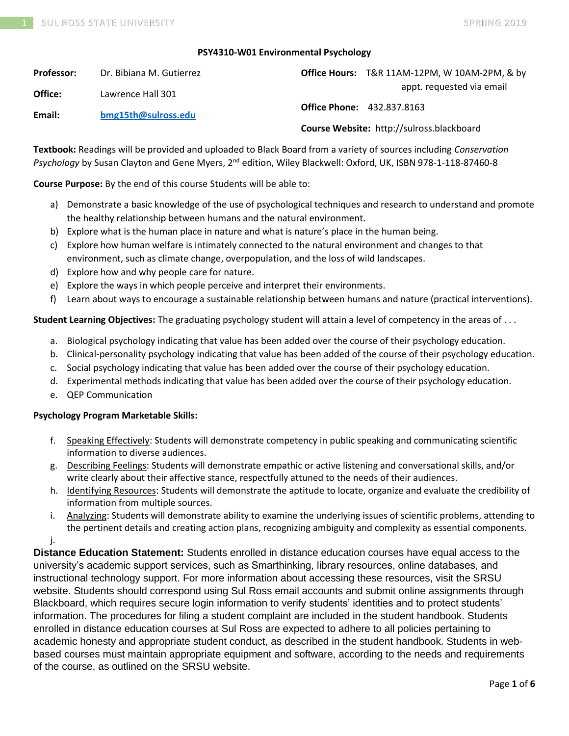#### **PSY4310-W01 Environmental Psychology**

| <b>Professor:</b> | Dr. Bibiana M. Gutierrez |                                   | Office Hours: T&R 11AM-12PM, W 10AM-2PM, & by |
|-------------------|--------------------------|-----------------------------------|-----------------------------------------------|
| Office:           | Lawrence Hall 301        | appt. requested via email         |                                               |
| Email:            | bmg15th@sulross.edu      | <b>Office Phone: 432.837.8163</b> |                                               |
|                   |                          |                                   | Course Website: http://sulross.blackboard     |

**Textbook:** Readings will be provided and uploaded to Black Board from a variety of sources including *Conservation Psychology* by Susan Clayton and Gene Myers, 2<sup>nd</sup> edition, Wiley Blackwell: Oxford, UK, ISBN 978-1-118-87460-8

**Course Purpose:** By the end of this course Students will be able to:

- a) Demonstrate a basic knowledge of the use of psychological techniques and research to understand and promote the healthy relationship between humans and the natural environment.
- b) Explore what is the human place in nature and what is nature's place in the human being.
- c) Explore how human welfare is intimately connected to the natural environment and changes to that environment, such as climate change, overpopulation, and the loss of wild landscapes.
- d) Explore how and why people care for nature.
- e) Explore the ways in which people perceive and interpret their environments.
- f) Learn about ways to encourage a sustainable relationship between humans and nature (practical interventions).

**Student Learning Objectives:** The graduating psychology student will attain a level of competency in the areas of . . .

- a. Biological psychology indicating that value has been added over the course of their psychology education.
- b. Clinical-personality psychology indicating that value has been added of the course of their psychology education.
- c. Social psychology indicating that value has been added over the course of their psychology education.
- d. Experimental methods indicating that value has been added over the course of their psychology education.
- e. QEP Communication

## **Psychology Program Marketable Skills:**

- f. Speaking Effectively: Students will demonstrate competency in public speaking and communicating scientific information to diverse audiences.
- g. Describing Feelings: Students will demonstrate empathic or active listening and conversational skills, and/or write clearly about their affective stance, respectfully attuned to the needs of their audiences.
- h. Identifying Resources: Students will demonstrate the aptitude to locate, organize and evaluate the credibility of information from multiple sources.
- i. Analyzing: Students will demonstrate ability to examine the underlying issues of scientific problems, attending to the pertinent details and creating action plans, recognizing ambiguity and complexity as essential components. j.

**Distance Education Statement:** Students enrolled in distance education courses have equal access to the university's academic support services, such as Smarthinking, library resources, online databases, and instructional technology support. For more information about accessing these resources, visit the SRSU website. Students should correspond using Sul Ross email accounts and submit online assignments through Blackboard, which requires secure login information to verify students' identities and to protect students' information. The procedures for filing a student complaint are included in the student handbook. Students enrolled in distance education courses at Sul Ross are expected to adhere to all policies pertaining to academic honesty and appropriate student conduct, as described in the student handbook. Students in webbased courses must maintain appropriate equipment and software, according to the needs and requirements of the course, as outlined on the SRSU website.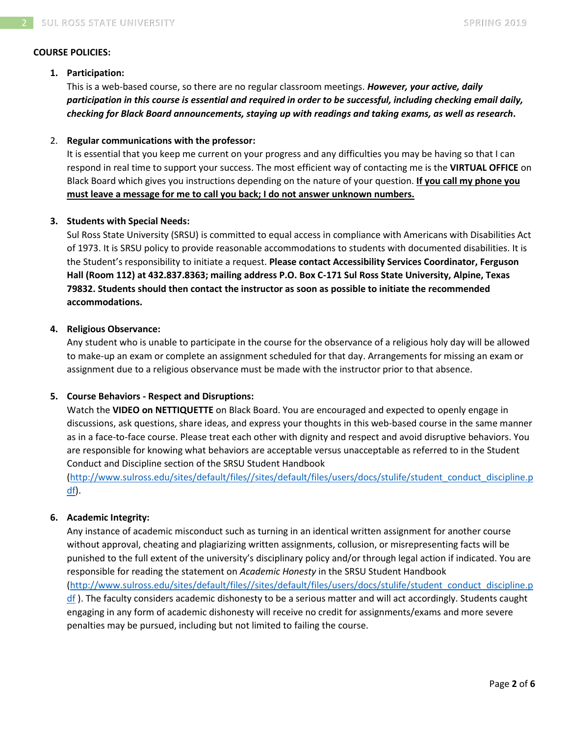#### **COURSE POLICIES:**

#### **1. Participation:**

This is a web-based course, so there are no regular classroom meetings. *However, your active, daily participation in this course is essential and required in order to be successful, including checking email daily, checking for Black Board announcements, staying up with readings and taking exams, as well as research.*

#### 2. **Regular communications with the professor:**

It is essential that you keep me current on your progress and any difficulties you may be having so that I can respond in real time to support your success. The most efficient way of contacting me is the **VIRTUAL OFFICE** on Black Board which gives you instructions depending on the nature of your question. **If you call my phone you must leave a message for me to call you back; I do not answer unknown numbers.**

#### **3. Students with Special Needs:**

Sul Ross State University (SRSU) is committed to equal access in compliance with Americans with Disabilities Act of 1973. It is SRSU policy to provide reasonable accommodations to students with documented disabilities. It is the Student's responsibility to initiate a request. **Please contact Accessibility Services Coordinator, Ferguson Hall (Room 112) at 432.837.8363; mailing address P.O. Box C-171 Sul Ross State University, Alpine, Texas 79832. Students should then contact the instructor as soon as possible to initiate the recommended accommodations.**

#### **4. Religious Observance:**

Any student who is unable to participate in the course for the observance of a religious holy day will be allowed to make-up an exam or complete an assignment scheduled for that day. Arrangements for missing an exam or assignment due to a religious observance must be made with the instructor prior to that absence.

## **5. Course Behaviors - Respect and Disruptions:**

Watch the **VIDEO on NETTIQUETTE** on Black Board. You are encouraged and expected to openly engage in discussions, ask questions, share ideas, and express your thoughts in this web-based course in the same manner as in a face-to-face course. Please treat each other with dignity and respect and avoid disruptive behaviors. You are responsible for knowing what behaviors are acceptable versus unacceptable as referred to in the Student Conduct and Discipline section of the SRSU Student Handbook

[\(http://www.sulross.edu/sites/default/files//sites/default/files/users/docs/stulife/student\\_conduct\\_discipline.p](http://www.sulross.edu/sites/default/files/sites/default/files/users/docs/stulife/student_conduct_discipline.pdf) [df\)](http://www.sulross.edu/sites/default/files/sites/default/files/users/docs/stulife/student_conduct_discipline.pdf).

## **6. Academic Integrity:**

Any instance of academic misconduct such as turning in an identical written assignment for another course without approval, cheating and plagiarizing written assignments, collusion, or misrepresenting facts will be punished to the full extent of the university's disciplinary policy and/or through legal action if indicated. You are responsible for reading the statement on *Academic Honesty* in the SRSU Student Handbook [\(http://www.sulross.edu/sites/default/files//sites/default/files/users/docs/stulife/student\\_conduct\\_discipline.p](http://www.sulross.edu/sites/default/files/sites/default/files/users/docs/stulife/student_conduct_discipline.pdf) [df](http://www.sulross.edu/sites/default/files/sites/default/files/users/docs/stulife/student_conduct_discipline.pdf) ). The faculty considers academic dishonesty to be a serious matter and will act accordingly. Students caught engaging in any form of academic dishonesty will receive no credit for assignments/exams and more severe penalties may be pursued, including but not limited to failing the course.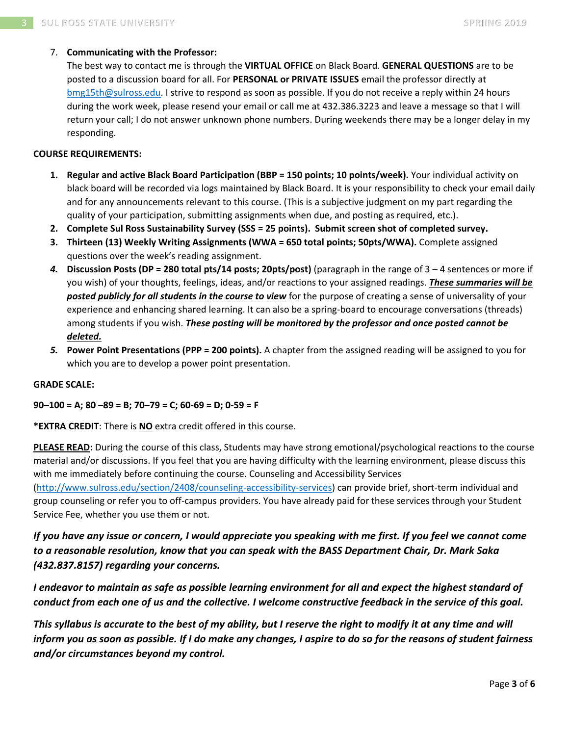## 7. **Communicating with the Professor:**

The best way to contact me is through the **VIRTUAL OFFICE** on Black Board. **GENERAL QUESTIONS** are to be posted to a discussion board for all. For **PERSONAL or PRIVATE ISSUES** email the professor directly at [bmg15th@sulross.edu.](mailto:bmg15th@sulross.edu) I strive to respond as soon as possible. If you do not receive a reply within 24 hours during the work week, please resend your email or call me at 432.386.3223 and leave a message so that I will return your call; I do not answer unknown phone numbers. During weekends there may be a longer delay in my responding.

#### **COURSE REQUIREMENTS:**

- **1. Regular and active Black Board Participation (BBP = 150 points; 10 points/week).** Your individual activity on black board will be recorded via logs maintained by Black Board. It is your responsibility to check your email daily and for any announcements relevant to this course. (This is a subjective judgment on my part regarding the quality of your participation, submitting assignments when due, and posting as required, etc.).
- **2. Complete Sul Ross Sustainability Survey (SSS = 25 points). Submit screen shot of completed survey.**
- **3. Thirteen (13) Weekly Writing Assignments (WWA = 650 total points; 50pts/WWA).** Complete assigned questions over the week's reading assignment.
- *4.* **Discussion Posts (DP = 280 total pts/14 posts; 20pts/post)** (paragraph in the range of 3 4 sentences or more if you wish) of your thoughts, feelings, ideas, and/or reactions to your assigned readings. *These summaries will be posted publicly for all students in the course to view* for the purpose of creating a sense of universality of your experience and enhancing shared learning. It can also be a spring-board to encourage conversations (threads) among students if you wish. *These posting will be monitored by the professor and once posted cannot be deleted.*
- *5.* **Power Point Presentations (PPP = 200 points).** A chapter from the assigned reading will be assigned to you for which you are to develop a power point presentation.

#### **GRADE SCALE:**

#### **90–100 = A; 80 –89 = B; 70–79 = C; 60-69 = D; 0-59 = F**

**\*EXTRA CREDIT**: There is **NO** extra credit offered in this course.

**PLEASE READ:** During the course of this class, Students may have strong emotional/psychological reactions to the course material and/or discussions. If you feel that you are having difficulty with the learning environment, please discuss this with me immediately before continuing the course. Counseling and Accessibility Services [\(http://www.sulross.edu/section/2408/counseling-accessibility-services\)](http://www.sulross.edu/section/2408/counseling-accessibility-services) can provide brief, short-term individual and group counseling or refer you to off-campus providers. You have already paid for these services through your Student Service Fee, whether you use them or not.

# *If you have any issue or concern, I would appreciate you speaking with me first. If you feel we cannot come to a reasonable resolution, know that you can speak with the BASS Department Chair, Dr. Mark Saka (432.837.8157) regarding your concerns.*

*I endeavor to maintain as safe as possible learning environment for all and expect the highest standard of conduct from each one of us and the collective. I welcome constructive feedback in the service of this goal.*

This syllabus is accurate to the best of my ability, but I reserve the right to modify it at any time and will *inform you as soon as possible. If I do make any changes, I aspire to do so for the reasons of student fairness and/or circumstances beyond my control.*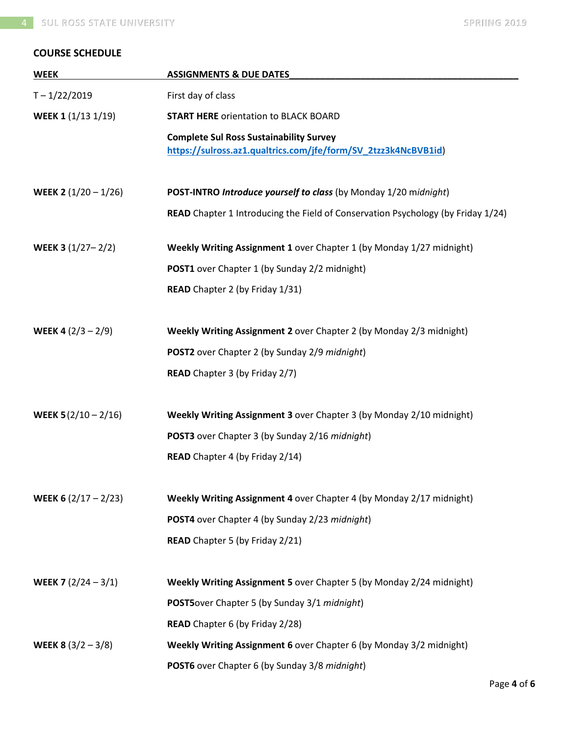# **COURSE SCHEDULE**

| <b>WEEK</b>                   | <b>ASSIGNMENTS &amp; DUE DATES</b>                                                                               |
|-------------------------------|------------------------------------------------------------------------------------------------------------------|
| $T - 1/22/2019$               | First day of class                                                                                               |
| WEEK 1 (1/13 1/19)            | <b>START HERE orientation to BLACK BOARD</b>                                                                     |
|                               | <b>Complete Sul Ross Sustainability Survey</b><br>https://sulross.az1.qualtrics.com/jfe/form/SV_2tzz3k4NcBVB1id) |
| WEEK 2 $(1/20 - 1/26)$        | POST-INTRO Introduce yourself to class (by Monday 1/20 midnight)                                                 |
|                               | READ Chapter 1 Introducing the Field of Conservation Psychology (by Friday 1/24)                                 |
| WEEK 3 $(1/27 - 2/2)$         | Weekly Writing Assignment 1 over Chapter 1 (by Monday 1/27 midnight)                                             |
|                               | <b>POST1</b> over Chapter 1 (by Sunday 2/2 midnight)                                                             |
|                               | READ Chapter 2 (by Friday 1/31)                                                                                  |
| <b>WEEK 4</b> $(2/3 - 2/9)$   | Weekly Writing Assignment 2 over Chapter 2 (by Monday 2/3 midnight)                                              |
|                               | POST2 over Chapter 2 (by Sunday 2/9 midnight)                                                                    |
|                               | <b>READ</b> Chapter 3 (by Friday 2/7)                                                                            |
| WEEK $5(2/10 - 2/16)$         | Weekly Writing Assignment 3 over Chapter 3 (by Monday 2/10 midnight)                                             |
|                               | POST3 over Chapter 3 (by Sunday 2/16 midnight)                                                                   |
|                               | <b>READ</b> Chapter 4 (by Friday 2/14)                                                                           |
| <b>WEEK 6</b> $(2/17 - 2/23)$ | Weekly Writing Assignment 4 over Chapter 4 (by Monday 2/17 midnight)                                             |
|                               | POST4 over Chapter 4 (by Sunday 2/23 midnight)                                                                   |
|                               | READ Chapter 5 (by Friday 2/21)                                                                                  |
| <b>WEEK 7</b> $(2/24 - 3/1)$  | Weekly Writing Assignment 5 over Chapter 5 (by Monday 2/24 midnight)                                             |
|                               | POST5over Chapter 5 (by Sunday 3/1 midnight)                                                                     |
|                               | READ Chapter 6 (by Friday 2/28)                                                                                  |
| <b>WEEK 8</b> $(3/2 - 3/8)$   | Weekly Writing Assignment 6 over Chapter 6 (by Monday 3/2 midnight)                                              |
|                               | POST6 over Chapter 6 (by Sunday 3/8 midnight)                                                                    |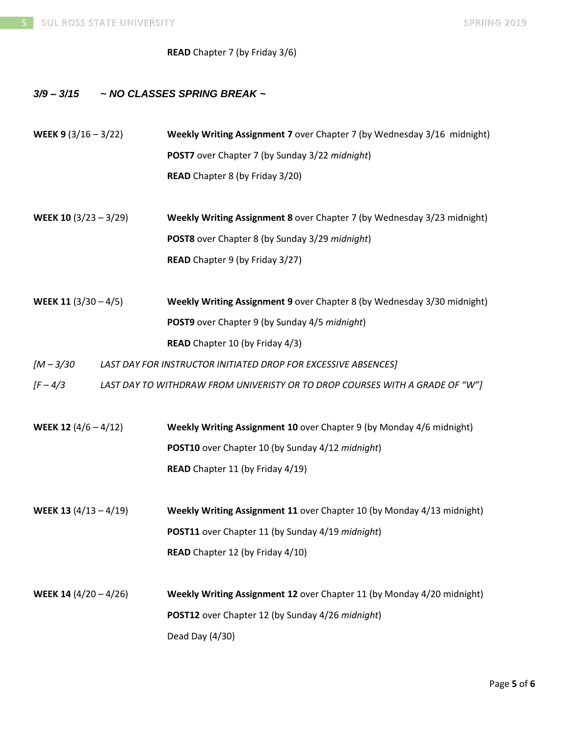## **READ** Chapter 7 (by Friday 3/6)

# *3/9 – 3/15 ~ NO CLASSES SPRING BREAK ~*

| WEEK 9 $(3/16 - 3/22)$  |  | Weekly Writing Assignment 7 over Chapter 7 (by Wednesday 3/16 midnight)      |  |  |
|-------------------------|--|------------------------------------------------------------------------------|--|--|
|                         |  | POST7 over Chapter 7 (by Sunday 3/22 midnight)                               |  |  |
|                         |  | <b>READ</b> Chapter 8 (by Friday 3/20)                                       |  |  |
|                         |  |                                                                              |  |  |
| WEEK 10 $(3/23 - 3/29)$ |  | Weekly Writing Assignment 8 over Chapter 7 (by Wednesday 3/23 midnight)      |  |  |
|                         |  | POST8 over Chapter 8 (by Sunday 3/29 midnight)                               |  |  |
|                         |  | READ Chapter 9 (by Friday 3/27)                                              |  |  |
|                         |  |                                                                              |  |  |
| WEEK 11 $(3/30 - 4/5)$  |  | Weekly Writing Assignment 9 over Chapter 8 (by Wednesday 3/30 midnight)      |  |  |
|                         |  | POST9 over Chapter 9 (by Sunday 4/5 midnight)                                |  |  |
|                         |  | READ Chapter 10 (by Friday 4/3)                                              |  |  |
| $[M - 3/30]$            |  | LAST DAY FOR INSTRUCTOR INITIATED DROP FOR EXCESSIVE ABSENCES]               |  |  |
| $[F - 4/3]$             |  | LAST DAY TO WITHDRAW FROM UNIVERISTY OR TO DROP COURSES WITH A GRADE OF "W"] |  |  |
|                         |  |                                                                              |  |  |
| WEEK 12 $(4/6 - 4/12)$  |  | Weekly Writing Assignment 10 over Chapter 9 (by Monday 4/6 midnight)         |  |  |
|                         |  | POST10 over Chapter 10 (by Sunday 4/12 midnight)                             |  |  |
|                         |  | READ Chapter 11 (by Friday 4/19)                                             |  |  |
|                         |  |                                                                              |  |  |
| WEEK 13 $(4/13 - 4/19)$ |  | Weekly Writing Assignment 11 over Chapter 10 (by Monday 4/13 midnight)       |  |  |
|                         |  | POST11 over Chapter 11 (by Sunday 4/19 midnight)                             |  |  |
|                         |  | READ Chapter 12 (by Friday 4/10)                                             |  |  |
|                         |  |                                                                              |  |  |
| WEEK 14 $(4/20 - 4/26)$ |  | Weekly Writing Assignment 12 over Chapter 11 (by Monday 4/20 midnight)       |  |  |
|                         |  | POST12 over Chapter 12 (by Sunday 4/26 midnight)                             |  |  |
|                         |  | Dead Day (4/30)                                                              |  |  |